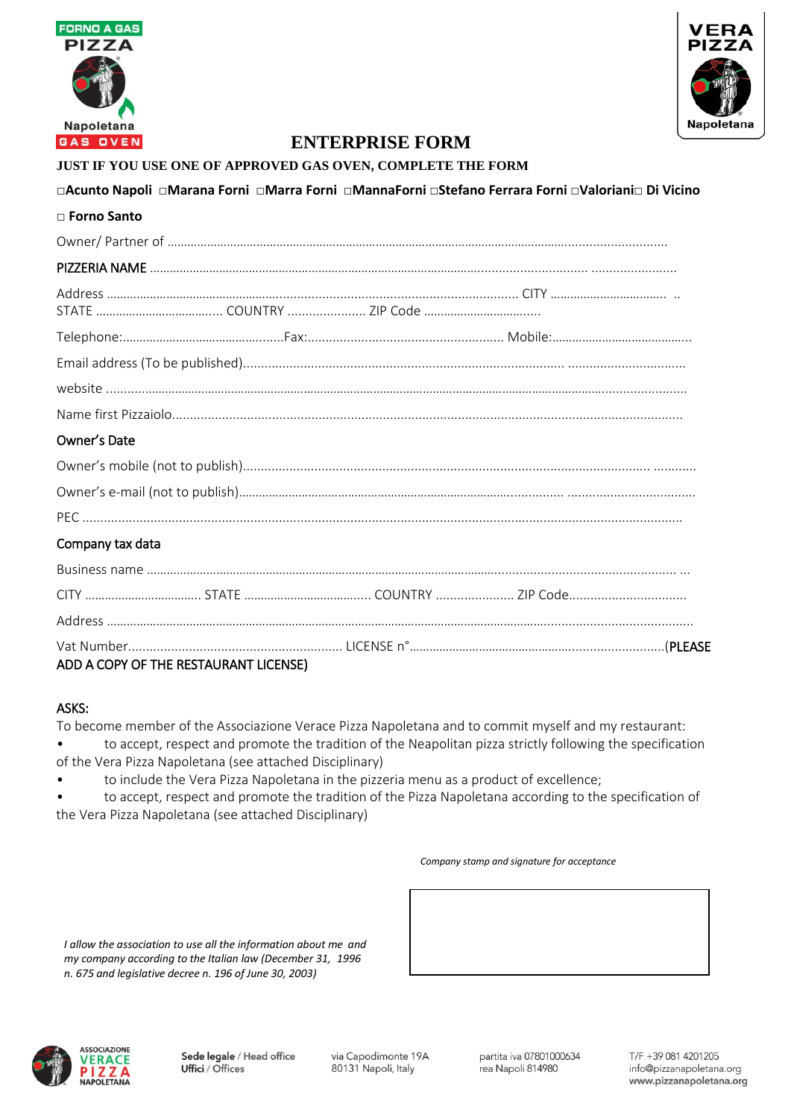



#### **JUST IF YOU USE ONE OF APPROVED GAS OVEN, COMPLETE THE FORM**

#### **□Acunto Napoli □Marana Forni □Marra Forni □MannaForni □Stefano Ferrara Forni □Valoriani□ Di Vicino □ Forno Santo**

| $\sqcup$ FUHIO SAHLO |  |  |
|----------------------|--|--|
|                      |  |  |
|                      |  |  |
|                      |  |  |
|                      |  |  |
|                      |  |  |
|                      |  |  |
|                      |  |  |
| Owner's Date         |  |  |
|                      |  |  |
|                      |  |  |
|                      |  |  |
| Company tax data     |  |  |
|                      |  |  |
|                      |  |  |
|                      |  |  |
|                      |  |  |

### ADD A COPY OF THE RESTAURANT LICENSE)

#### ASKS:

To become member of the Associazione Verace Pizza Napoletana and to commit myself and my restaurant: • to accept, respect and promote the tradition of the Neapolitan pizza strictly following the specification of the Vera Pizza Napoletana (see attached Disciplinary)

• to include the Vera Pizza Napoletana in the pizzeria menu as a product of excellence;

• to accept, respect and promote the tradition of the Pizza Napoletana according to the specification of the Vera Pizza Napoletana (see attached Disciplinary)

#### *Company stamp and signature for acceptance*

*I allow the association to use all the information about me and my company according to the Italian law (December 31, 1996 n. 675 and legislative decree n. 196 of June 30, 2003)*

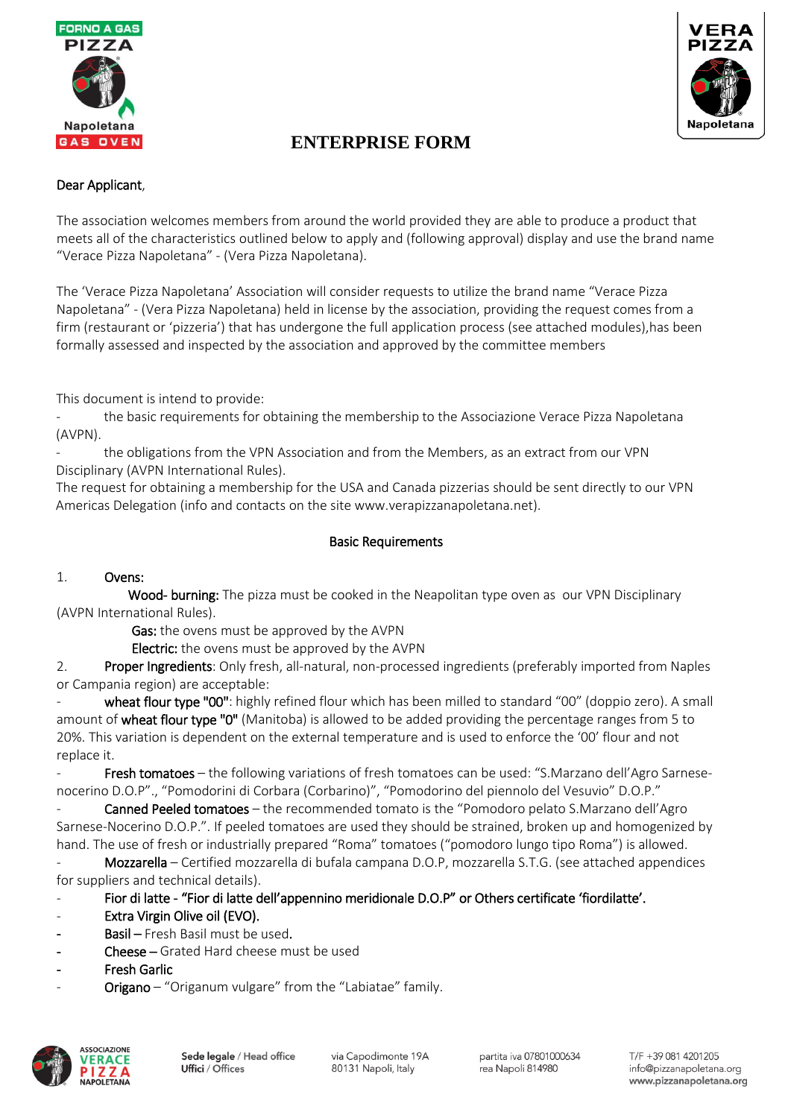



#### Dear Applicant,

The association welcomes members from around the world provided they are able to produce a product that meets all of the characteristics outlined below to apply and (following approval) display and use the brand name "Verace Pizza Napoletana" - (Vera Pizza Napoletana).

The 'Verace Pizza Napoletana' Association will consider requests to utilize the brand name "Verace Pizza Napoletana" - (Vera Pizza Napoletana) held in license by the association, providing the request comes from a firm (restaurant or 'pizzeria') that has undergone the full application process (see attached modules),has been formally assessed and inspected by the association and approved by the committee members

This document is intend to provide:

the basic requirements for obtaining the membership to the Associazione Verace Pizza Napoletana (AVPN).

the obligations from the VPN Association and from the Members, as an extract from our VPN Disciplinary (AVPN International Rules).

The request for obtaining a membership for the USA and Canada pizzerias should be sent directly to our VPN Americas Delegation (info and contacts on the site www.verapizzanapoletana.net).

#### Basic Requirements

#### 1. Ovens:

Wood- burning: The pizza must be cooked in the Neapolitan type oven as our VPN Disciplinary (AVPN International Rules).

Gas: the ovens must be approved by the AVPN

Electric: the ovens must be approved by the AVPN

2. Proper Ingredients: Only fresh, all-natural, non-processed ingredients (preferably imported from Naples or Campania region) are acceptable:

wheat flour type "00": highly refined flour which has been milled to standard "00" (doppio zero). A small amount of wheat flour type "0" (Manitoba) is allowed to be added providing the percentage ranges from 5 to 20%. This variation is dependent on the external temperature and is used to enforce the '00' flour and not replace it.

Fresh tomatoes – the following variations of fresh tomatoes can be used: "S.Marzano dell'Agro Sarnesenocerino D.O.P"., "Pomodorini di Corbara (Corbarino)", "Pomodorino del piennolo del Vesuvio" D.O.P."

Canned Peeled tomatoes – the recommended tomato is the "Pomodoro pelato S.Marzano dell'Agro Sarnese-Nocerino D.O.P.". If peeled tomatoes are used they should be strained, broken up and homogenized by hand. The use of fresh or industrially prepared "Roma" tomatoes ("pomodoro lungo tipo Roma") is allowed.

Mozzarella – Certified mozzarella di bufala campana D.O.P, mozzarella S.T.G. (see attached appendices for suppliers and technical details).

- Fior di latte - "Fior di latte dell'appennino meridionale D.O.P" or Others certificate 'fiordilatte'.

- Extra Virgin Olive oil (EVO).
- Basil Fresh Basil must be used.
- Cheese Grated Hard cheese must be used
- **Fresh Garlic**
- Origano "Origanum vulgare" from the "Labiatae" family.

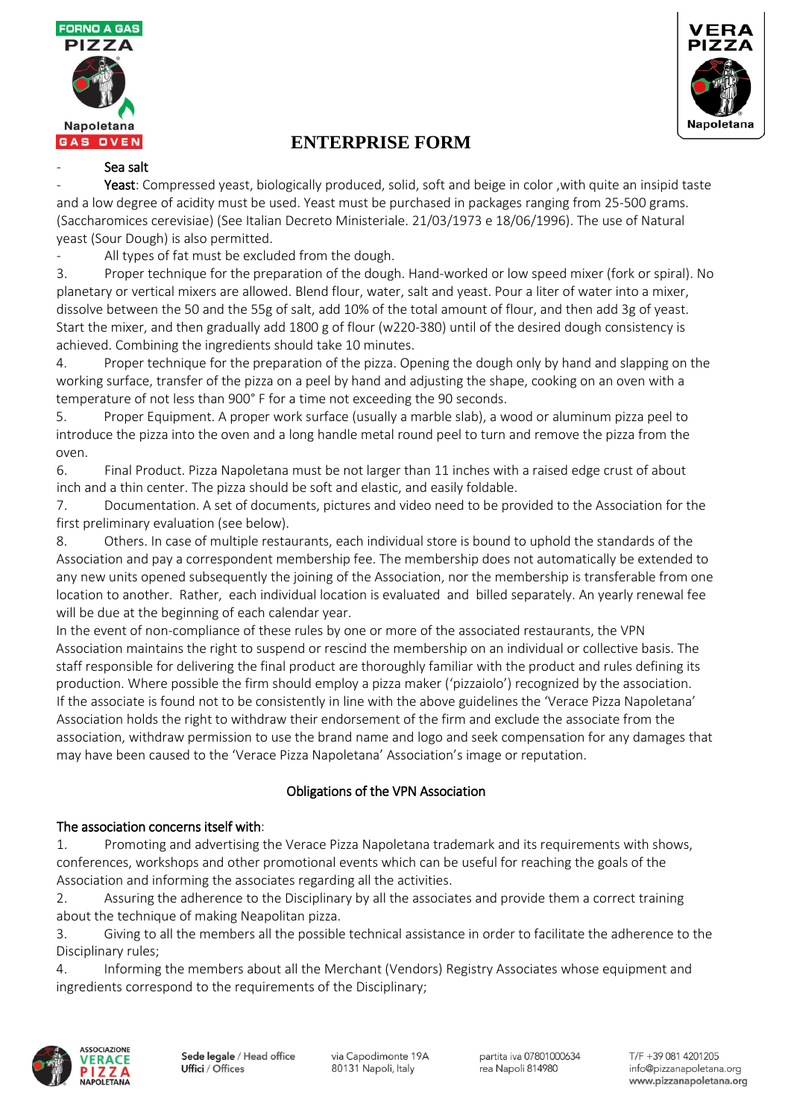



#### Sea salt

Yeast: Compressed yeast, biologically produced, solid, soft and beige in color , with quite an insipid taste and a low degree of acidity must be used. Yeast must be purchased in packages ranging from 25-500 grams. (Saccharomices cerevisiae) (See Italian Decreto Ministeriale. 21/03/1973 e 18/06/1996). The use of Natural yeast (Sour Dough) is also permitted.

All types of fat must be excluded from the dough.

3. Proper technique for the preparation of the dough. Hand-worked or low speed mixer (fork or spiral). No planetary or vertical mixers are allowed. Blend flour, water, salt and yeast. Pour a liter of water into a mixer, dissolve between the 50 and the 55g of salt, add 10% of the total amount of flour, and then add 3g of yeast. Start the mixer, and then gradually add 1800 g of flour (w220-380) until of the desired dough consistency is achieved. Combining the ingredients should take 10 minutes.

4. Proper technique for the preparation of the pizza. Opening the dough only by hand and slapping on the working surface, transfer of the pizza on a peel by hand and adjusting the shape, cooking on an oven with a temperature of not less than 900° F for a time not exceeding the 90 seconds.

5. Proper Equipment. A proper work surface (usually a marble slab), a wood or aluminum pizza peel to introduce the pizza into the oven and a long handle metal round peel to turn and remove the pizza from the oven.

6. Final Product. Pizza Napoletana must be not larger than 11 inches with a raised edge crust of about inch and a thin center. The pizza should be soft and elastic, and easily foldable.

7. Documentation. A set of documents, pictures and video need to be provided to the Association for the first preliminary evaluation (see below).

8. Others. In case of multiple restaurants, each individual store is bound to uphold the standards of the Association and pay a correspondent membership fee. The membership does not automatically be extended to any new units opened subsequently the joining of the Association, nor the membership is transferable from one location to another. Rather, each individual location is evaluated and billed separately. An yearly renewal fee will be due at the beginning of each calendar year.

In the event of non-compliance of these rules by one or more of the associated restaurants, the VPN Association maintains the right to suspend or rescind the membership on an individual or collective basis. The staff responsible for delivering the final product are thoroughly familiar with the product and rules defining its production. Where possible the firm should employ a pizza maker ('pizzaiolo') recognized by the association. If the associate is found not to be consistently in line with the above guidelines the 'Verace Pizza Napoletana' Association holds the right to withdraw their endorsement of the firm and exclude the associate from the association, withdraw permission to use the brand name and logo and seek compensation for any damages that may have been caused to the 'Verace Pizza Napoletana' Association's image or reputation.

### Obligations of the VPN Association

#### The association concerns itself with:

1. Promoting and advertising the Verace Pizza Napoletana trademark and its requirements with shows, conferences, workshops and other promotional events which can be useful for reaching the goals of the Association and informing the associates regarding all the activities.

2. Assuring the adherence to the Disciplinary by all the associates and provide them a correct training about the technique of making Neapolitan pizza.

3. Giving to all the members all the possible technical assistance in order to facilitate the adherence to the Disciplinary rules;

4. Informing the members about all the Merchant (Vendors) Registry Associates whose equipment and ingredients correspond to the requirements of the Disciplinary;